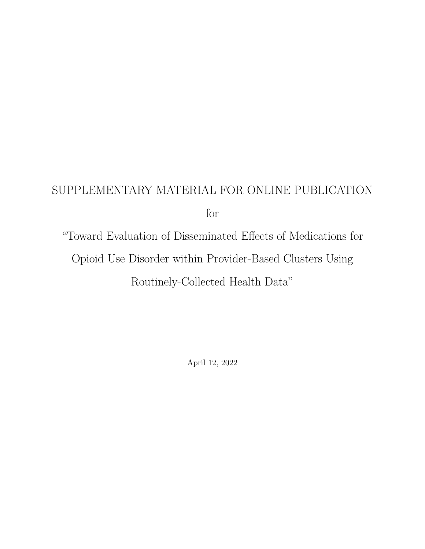## SUPPLEMENTARY MATERIAL FOR ONLINE PUBLICATION for

"Toward Evaluation of Disseminated Effects of Medications for Opioid Use Disorder within Provider-Based Clusters Using Routinely-Collected Health Data"

April 12, 2022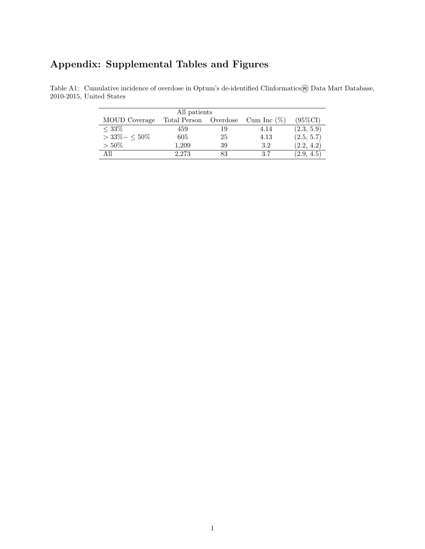## Appendix: Supplemental Tables and Figures

| All patients    |              |          |                |            |  |  |  |  |
|-----------------|--------------|----------|----------------|------------|--|--|--|--|
| MOUD Coverage   | Total Person | Overdose | Cum Inc $(\%)$ | (95%CI)    |  |  |  |  |
| $< 33\%$        | 459          | 19       | 4.14           | (2.3, 5.9) |  |  |  |  |
| $>33\% - <50\%$ | 605          | 25       | 4.13           | (2.5, 5.7) |  |  |  |  |
| $>50\%$         | 1,209        | 39       | 3.2            | (2.2, 4.2) |  |  |  |  |
| A 11            | 2.273        | 83       | 3.7            | (2.9, 4.5) |  |  |  |  |

Table A1: Cumulative incidence of overdose in Optum's de-identified Clinformatics® Data Mart Database, 2010-2015, United States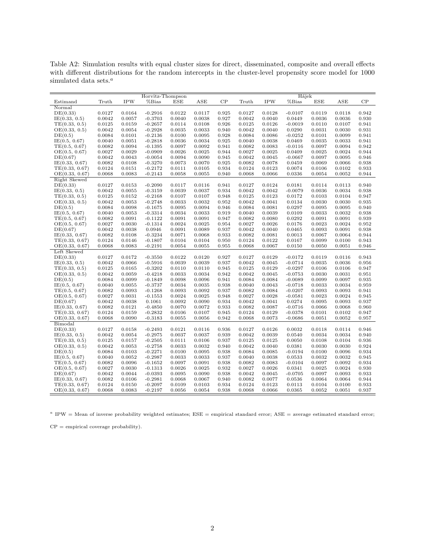Table A2: Simulation results with equal cluster sizes for direct, disseminated, composite and overall effects with different distributions for the random intercepts in the cluster-level propensity score model for 1000 simulated data sets. $^a$ 

|                |        |            | Horvitz-Thompson |            |        |       |        |            | Hájek     |            |        |       |
|----------------|--------|------------|------------------|------------|--------|-------|--------|------------|-----------|------------|--------|-------|
| Estimand       | Truth  | <b>IPW</b> | $%$ Bias         | <b>ESE</b> | ASE    | CP    | Truth  | <b>IPW</b> | %Bias     | <b>ESE</b> | ASE    | CP    |
| Normal         |        |            |                  |            |        |       |        |            |           |            |        |       |
|                |        |            |                  |            |        |       |        |            |           |            |        |       |
| DE(0.33)       | 0.0127 | 0.0164     | $-0.2916$        | 0.0122     | 0.0117 | 0.925 | 0.0127 | 0.0128     | $-0.0107$ | 0.0119     | 0.0118 | 0.942 |
| IE(0.33, 0.5)  | 0.0042 | 0.0057     | $-0.3703$        | 0.0040     | 0.0038 | 0.927 | 0.0042 | 0.0040     | 0.0449    | 0.0036     | 0.0036 | 0.930 |
| TE(0.33, 0.5)  | 0.0125 | 0.0159     | $-0.2657$        | 0.0114     | 0.0108 | 0.926 | 0.0125 | 0.0126     | $-0.0019$ | 0.0110     | 0.0107 | 0.941 |
| OE(0.33, 0.5)  | 0.0042 | 0.0054     | $-0.2928$        | 0.0035     | 0.0033 | 0.940 | 0.0042 | 0.0040     | 0.0290    | 0.0031     | 0.0030 | 0.931 |
| DE(0.5)        | 0.0084 | 0.0101     | $-0.2136$        | 0.0100     | 0.0095 | 0.928 | 0.0084 | 0.0086     | $-0.0252$ | 0.0101     | 0.0099 | 0.941 |
| IE(0.5, 0.67)  | 0.0040 | 0.0051     | $-0.2818$        | 0.0036     | 0.0034 | 0.925 | 0.0040 | 0.0038     | 0.0469    | 0.0035     | 0.0033 | 0.941 |
| TE(0.5, 0.67)  | 0.0082 | 0.0094     | $-0.1395$        | 0.0097     | 0.0092 | 0.941 | 0.0082 | 0.0083     | $-0.0116$ | 0.0097     | 0.0094 | 0.942 |
| OE(0.5, 0.67)  | 0.0027 | 0.0029     | $-0.0909$        | 0.0026     | 0.0025 | 0.944 | 0.0027 | 0.0025     | 0.0409    | 0.0025     | 0.0024 | 0.944 |
| DE(0.67)       | 0.0042 | 0.0043     | $-0.0054$        | 0.0094     | 0.0090 | 0.945 | 0.0042 | 0.0045     | $-0.0667$ | 0.0097     | 0.0095 | 0.946 |
| IE(0.33, 0.67) | 0.0082 | 0.0108     | $-0.3270$        | 0.0073     | 0.0070 | 0.925 | 0.0082 | 0.0078     | 0.0459    | 0.0069     | 0.0066 | 0.938 |
| TE(0.33, 0.67) | 0.0124 | 0.0151     | $-0.2172$        | 0.0111     | 0.0105 | 0.934 | 0.0124 | 0.0123     | 0.0074    | 0.0106     | 0.0102 | 0.933 |
| OE(0.33, 0.67) | 0.0068 | 0.0083     | $-0.2143$        | 0.0058     | 0.0055 | 0.940 | 0.0068 | 0.0066     | 0.0336    | 0.0054     | 0.0052 | 0.944 |
| Right Skewed   |        |            |                  |            |        |       |        |            |           |            |        |       |
| DE(0.33)       | 0.0127 | 0.0153     | $-0.2090$        | 0.0117     | 0.0116 | 0.941 | 0.0127 | 0.0124     | 0.0181    | 0.0114     | 0.0113 | 0.940 |
|                |        |            |                  |            |        |       |        |            |           |            |        |       |
| IE(0.33, 0.5)  | 0.0042 | 0.0055     | $-0.3159$        | 0.0039     | 0.0037 | 0.934 | 0.0042 | 0.0042     | $-0.0079$ | 0.0036     | 0.0034 | 0.938 |
| TE(0.33, 0.5)  | 0.0125 | 0.0152     | $-0.2168$        | 0.0107     | 0.0107 | 0.948 | 0.0125 | 0.0123     | 0.0172    | 0.0103     | 0.0104 | 0.947 |
| OE(0.33, 0.5)  | 0.0042 | 0.0053     | $-0.2748$        | 0.0033     | 0.0032 | 0.952 | 0.0042 | 0.0041     | 0.0134    | 0.0030     | 0.0030 | 0.935 |
| DE(0.5)        | 0.0084 | 0.0098     | $-0.1675$        | 0.0095     | 0.0094 | 0.946 | 0.0084 | 0.0081     | 0.0297    | 0.0095     | 0.0095 | 0.940 |
| IE(0.5, 0.67)  | 0.0040 | 0.0053     | $-0.3314$        | 0.0034     | 0.0033 | 0.919 | 0.0040 | 0.0039     | 0.0109    | 0.0033     | 0.0032 | 0.938 |
| TE(0.5, 0.67)  | 0.0082 | 0.0091     | $-0.1122$        | 0.0091     | 0.0091 | 0.947 | 0.0082 | 0.0080     | 0.0292    | 0.0091     | 0.0091 | 0.939 |
| OE(0.5, 0.67)  | 0.0027 | 0.0030     | $-0.1314$        | 0.0024     | 0.0025 | 0.954 | 0.0027 | 0.0026     | 0.0176    | 0.0023     | 0.0024 | 0.952 |
| DE(0.67)       | 0.0042 | 0.0038     | 0.0946           | 0.0091     | 0.0089 | 0.937 | 0.0042 | 0.0040     | 0.0465    | 0.0093     | 0.0091 | 0.938 |
| IE(0.33, 0.67) | 0.0082 | 0.0108     | $-0.3234$        | 0.0071     | 0.0068 | 0.933 | 0.0082 | 0.0081     | 0.0013    | 0.0067     | 0.0064 | 0.944 |
| TE(0.33, 0.67) | 0.0124 | 0.0146     | $-0.1807$        | 0.0104     | 0.0104 | 0.950 | 0.0124 | 0.0122     | 0.0167    | 0.0099     | 0.0100 | 0.943 |
| OE(0.33, 0.67) | 0.0068 | 0.0083     | $-0.2191$        | 0.0054     | 0.0055 | 0.955 | 0.0068 | 0.0067     | 0.0150    | 0.0050     | 0.0051 | 0.946 |
| Left Skewed    |        |            |                  |            |        |       |        |            |           |            |        |       |
| DE(0.33)       | 0.0127 | 0.0172     | $-0.3550$        | 0.0122     | 0.0120 | 0.927 | 0.0127 | 0.0129     | $-0.0172$ | 0.0119     | 0.0116 | 0.943 |
| IE(0.33, 0.5)  | 0.0042 | 0.0066     | $-0.5916$        | 0.0039     | 0.0039 | 0.937 | 0.0042 | 0.0045     | $-0.0714$ | 0.0035     | 0.0036 | 0.956 |
| TE(0.33, 0.5)  | 0.0125 | 0.0165     | $-0.3202$        | 0.0110     | 0.0110 | 0.945 | 0.0125 | 0.0129     | $-0.0297$ | 0.0106     | 0.0106 | 0.947 |
| OE(0.33, 0.5)  | 0.0042 | 0.0059     | $-0.4218$        | 0.0033     | 0.0034 | 0.942 | 0.0042 | 0.0045     | $-0.0753$ | 0.0030     | 0.0031 | 0.951 |
|                |        |            |                  |            |        |       |        |            |           |            |        |       |
| DE(0.5)        | 0.0084 | 0.0099     | $-0.1849$        | 0.0098     | 0.0096 | 0.941 | 0.0084 | 0.0084     | $-0.0089$ | 0.0099     | 0.0097 | 0.935 |
| IE(0.5, 0.67)  | 0.0040 | 0.0055     | $-0.3737$        | 0.0034     | 0.0035 | 0.938 | 0.0040 | 0.0043     | $-0.0718$ | 0.0033     | 0.0034 | 0.959 |
| TE(0.5, 0.67)  | 0.0082 | 0.0093     | $-0.1268$        | 0.0093     | 0.0092 | 0.937 | 0.0082 | 0.0084     | $-0.0207$ | 0.0093     | 0.0093 | 0.941 |
| OE(0.5, 0.67)  | 0.0027 | 0.0031     | $-0.1553$        | 0.0024     | 0.0025 | 0.948 | 0.0027 | 0.0028     | $-0.0581$ | 0.0023     | 0.0024 | 0.945 |
| DE(0.67)       | 0.0042 | 0.0038     | 0.1061           | 0.0092     | 0.0090 | 0.934 | 0.0042 | 0.0041     | 0.0274    | 0.0095     | 0.0093 | 0.937 |
| IE(0.33, 0.67) | 0.0082 | 0.0121     | $-0.4850$        | 0.0070     | 0.0072 | 0.933 | 0.0082 | 0.0087     | $-0.0716$ | 0.0066     | 0.0068 | 0.960 |
| TE(0.33, 0.67) | 0.0124 | 0.0159     | $-0.2832$        | 0.0106     | 0.0107 | 0.945 | 0.0124 | 0.0129     | $-0.0378$ | 0.0101     | 0.0102 | 0.947 |
| OE(0.33, 0.67) | 0.0068 | 0.0090     | $-0.3183$        | 0.0055     | 0.0056 | 0.942 | 0.0068 | 0.0073     | $-0.0686$ | 0.0051     | 0.0052 | 0.957 |
| Bimodal        |        |            |                  |            |        |       |        |            |           |            |        |       |
| DE(0.33)       | 0.0127 | 0.0158     | $-0.2493$        | 0.0121     | 0.0116 | 0.936 | 0.0127 | 0.0126     | 0.0032    | 0.0118     | 0.0114 | 0.946 |
| IE(0.33, 0.5)  | 0.0042 | 0.0054     | $-0.2975$        | 0.0037     | 0.0037 | 0.939 | 0.0042 | 0.0039     | 0.0540    | 0.0034     | 0.0034 | 0.940 |
| TE(0.33, 0.5)  | 0.0125 | 0.0157     | $-0.2505$        | 0.0111     | 0.0106 | 0.937 | 0.0125 | 0.0125     | 0.0050    | 0.0108     | 0.0104 | 0.936 |
| OE(0.33, 0.5)  | 0.0042 | 0.0053     | $-0.2758$        | 0.0033     | 0.0032 | 0.940 | 0.0042 | 0.0040     | 0.0381    | 0.0030     | 0.0030 | 0.924 |
| DE(0.5)        | 0.0084 | 0.0103     | $-0.2271$        | 0.0100     | 0.0095 | 0.938 | 0.0084 | 0.0085     | $-0.0194$ | 0.0100     | 0.0096 | 0.934 |
| IE(0.5, 0.67)  | 0.0040 | 0.0052     | $-0.2987$        | 0.0033     | 0.0033 | 0.937 | 0.0040 | 0.0038     | 0.0533    | 0.0032     | 0.0032 | 0.945 |
| TE(0.5, 0.67)  | 0.0082 | 0.0096     | $-0.1652$        | 0.0097     | 0.0091 | 0.938 | 0.0082 | 0.0083     | $-0.0104$ | 0.0097     | 0.0092 | 0.934 |
| OE(0.5, 0.67)  | 0.0027 | 0.0030     | $-0.1313$        | 0.0026     | 0.0025 | 0.932 | 0.0027 | 0.0026     | 0.0341    | 0.0025     | 0.0024 | 0.930 |
|                |        |            |                  |            |        |       |        |            |           |            |        |       |
| DE(0.67)       | 0.0042 | 0.0044     | $-0.0393$        | 0.0095     | 0.0090 | 0.938 | 0.0042 | 0.0045     | $-0.0705$ | 0.0097     | 0.0093 | 0.933 |
| IE(0.33, 0.67) | 0.0082 | 0.0106     | $-0.2981$        | 0.0068     | 0.0067 | 0.940 | 0.0082 | 0.0077     | 0.0536    | 0.0064     | 0.0064 | 0.944 |
| TE(0.33, 0.67) | 0.0124 | 0.0150     | $-0.2097$        | 0.0109     | 0.0103 | 0.934 | 0.0124 | 0.0123     | 0.0113    | 0.0104     | 0.0100 | 0.933 |
| OE(0.33, 0.67) | 0.0068 | 0.0083     | $-0.2197$        | 0.0056     | 0.0054 | 0.938 | 0.0068 | 0.0066     | 0.0365    | 0.0052     | 0.0051 | 0.937 |

 $a$  IPW = Mean of inverse probability weighted estimates;  $ESE$  = empirical standard error;  $ASE$  = average estimated standard error;

 $CP =$  empirical coverage probability).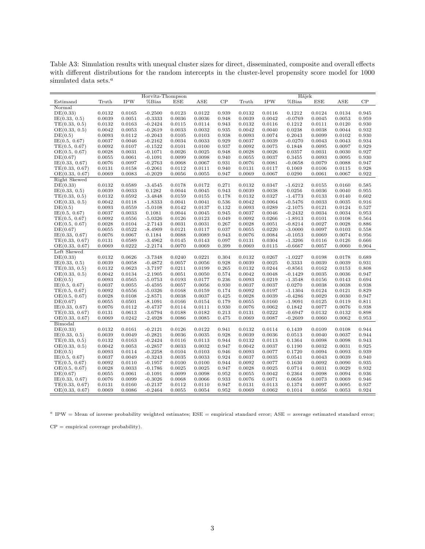Table A3: Simulation results with unequal cluster sizes for direct, disseminated, composite and overall effects with different distributions for the random intercepts in the cluster-level propensity score model for 1000 simulated data sets. $^a$ 

|                |                  |            | Horvitz-Thompson |        |                  |       |                  |                  | Hájek     |        |                  |       |
|----------------|------------------|------------|------------------|--------|------------------|-------|------------------|------------------|-----------|--------|------------------|-------|
| Estimand       | Truth            | <b>IPW</b> | % Bias           | ESE    | ASE              | CP    | Truth            | <b>IPW</b>       | %Bias     | ESE    | ASE              | CP    |
| Normal         |                  |            |                  |        |                  |       |                  |                  |           |        |                  |       |
|                |                  |            |                  |        |                  |       |                  |                  |           |        |                  |       |
| DE(0.33)       | 0.0132           | 0.0165     | $-0.2500$        | 0.0123 | 0.0122           | 0.939 | 0.0132           | 0.0116           | 0.1212    | 0.0124 | 0.0134           | 0.945 |
| IE(0.33, 0.5)  | 0.0039           | 0.0051     | $-0.3333$        | 0.0036 | 0.0036           | 0.948 | 0.0039           | 0.0042           | $-0.0769$ | 0.0045 | 0.0053           | 0.959 |
| TE(0.33, 0.5)  | 0.0132           | 0.0163     | $-0.2424$        | 0.0115 | 0.0114           | 0.943 | 0.0132           | 0.0116           | 0.1212    | 0.0111 | 0.0120           | 0.930 |
| OE(0.33, 0.5)  | 0.0042           | 0.0053     | $-0.2619$        | 0.0033 | 0.0032           | 0.935 | 0.0042           | 0.0040           | 0.0238    | 0.0038 | 0.0044           | 0.932 |
| DE(0.5)        | 0.0093           | 0.0112     | $-0.2043$        | 0.0105 | 0.0103           | 0.938 | 0.0093           | 0.0074           | 0.2043    | 0.0099 | 0.0102           | 0.930 |
| IE(0.5, 0.67)  | 0.0037           | 0.0046     | $-0.2162$        | 0.0034 | 0.0033           | 0.929 | 0.0037           | 0.0039           | $-0.0270$ | 0.0043 | 0.0043           | 0.934 |
| TE(0.5, 0.67)  | 0.0092           | 0.0107     | $-0.1522$        | 0.0101 | 0.0100           | 0.937 | 0.0092           | 0.0075           | 0.1848    | 0.0095 | 0.0097           | 0.929 |
| OE(0.5, 0.67)  | 0.0028           | 0.0031     | $-0.1071$        | 0.0026 | 0.0025           | 0.948 | 0.0028           | 0.0026           | 0.0357    | 0.0031 | 0.0030           | 0.927 |
| DE(0.67)       | 0.0055           | 0.0061     | $-0.1091$        | 0.0099 | 0.0098           | 0.940 | 0.0055           | 0.0037           | 0.3455    | 0.0093 | 0.0095           | 0.930 |
| IE(0.33, 0.67) | 0.0076           | 0.0097     | $-0.2763$        | 0.0068 | 0.0067           | 0.931 | 0.0076           | 0.0081           | $-0.0658$ | 0.0079 | 0.0088           | 0.947 |
| TE(0.33, 0.67) | 0.0131           | 0.0158     | $-0.2061$        | 0.0112 | 0.0111           | 0.940 | 0.0131           | 0.0117           | 0.1069    | 0.0106 | 0.0115           | 0.928 |
| OE(0.33, 0.67) | 0.0069           | 0.0083     | $-0.2029$        | 0.0056 | 0.0055           | 0.947 | 0.0069           | 0.0067           | 0.0290    | 0.0061 | 0.0067           | 0.922 |
| Right Skewed   |                  |            |                  |        |                  |       |                  |                  |           |        |                  |       |
| DE(0.33)       | 0.0132           | 0.0589     | $-3.4545$        | 0.0178 | 0.0172           | 0.271 | 0.0132           | 0.0347           | $-1.6212$ | 0.0155 | 0.0160           | 0.585 |
| IE(0.33, 0.5)  | 0.0039           | 0.0033     | 0.1282           | 0.0044 | 0.0045           | 0.943 | 0.0039           | 0.0038           | 0.0256    | 0.0036 | 0.0040           | 0.955 |
| TE(0.33, 0.5)  | 0.0132           | 0.0592     | $-3.4848$        | 0.0159 | 0.0155           | 0.178 | 0.0132           | 0.0327           | $-1.4773$ | 0.0133 | 0.0140           | 0.602 |
| OE(0.33, 0.5)  | 0.0042           | 0.0118     | $-1.8333$        | 0.0041 | 0.0041           | 0.536 | 0.0042           | 0.0064           | $-0.5476$ | 0.0033 | 0.0035           | 0.916 |
| DE(0.5)        | 0.0093           | 0.0559     | $-5.0108$        | 0.0142 | 0.0137           | 0.132 | 0.0093           | 0.0289           | $-2.1075$ | 0.0121 | 0.0124           | 0.527 |
| IE(0.5, 0.67)  | 0.0037           | 0.0033     | 0.1081           | 0.0044 | 0.0045           | 0.945 | 0.0037           | 0.0046           | $-0.2432$ | 0.0034 | 0.0034           | 0.953 |
|                |                  | 0.0556     | $-5.0326$        | 0.0126 |                  | 0.049 |                  |                  | $-1.8913$ | 0.0101 |                  | 0.564 |
| TE(0.5, 0.67)  | 0.0092<br>0.0028 | 0.0104     | $-2.7143$        |        | 0.0123<br>0.0031 | 0.267 | 0.0092<br>0.0028 | 0.0266<br>0.0051 |           | 0.0027 | 0.0108<br>0.0028 | 0.886 |
| OE(0.5, 0.67)  |                  |            |                  | 0.0031 |                  |       |                  |                  | $-0.8214$ |        |                  |       |
| DE(0.67)       | 0.0055           | 0.0522     | $-8.4909$        | 0.0121 | 0.0117           | 0.037 | 0.0055           | 0.0220           | $-3.0000$ | 0.0097 | 0.0103           | 0.558 |
| IE(0.33, 0.67) | 0.0076           | 0.0067     | 0.1184           | 0.0088 | 0.0089           | 0.943 | 0.0076           | 0.0084           | $-0.1053$ | 0.0069 | 0.0074           | 0.956 |
| TE(0.33, 0.67) | 0.0131           | 0.0589     | $-3.4962$        | 0.0145 | 0.0143           | 0.097 | 0.0131           | 0.0304           | $-1.3206$ | 0.0116 | 0.0126           | 0.666 |
| OE(0.33, 0.67) | 0.0069           | 0.0222     | $-2.2174$        | 0.0070 | 0.0069           | 0.399 | 0.0069           | 0.0115           | $-0.6667$ | 0.0057 | 0.0060           | 0.904 |
| Left Skewed    |                  |            |                  |        |                  |       |                  |                  |           |        |                  |       |
| DE(0.33)       | 0.0132           | 0.0626     | $-3.7348$        | 0.0240 | 0.0221           | 0.304 | 0.0132           | 0.0267           | $-1.0227$ | 0.0198 | 0.0178           | 0.689 |
| IE(0.33, 0.5)  | 0.0039           | 0.0058     | $-0.4872$        | 0.0057 | 0.0056           | 0.928 | 0.0039           | 0.0025           | 0.3333    | 0.0039 | 0.0039           | 0.931 |
| TE(0.33, 0.5)  | 0.0132           | 0.0623     | $-3.7197$        | 0.0211 | 0.0199           | 0.265 | 0.0132           | 0.0244           | $-0.8561$ | 0.0162 | 0.0153           | 0.808 |
| OE(0.33, 0.5)  | 0.0042           | 0.0134     | $-2.1905$        | 0.0051 | 0.0050           | 0.574 | 0.0042           | 0.0048           | $-0.1429$ | 0.0035 | 0.0036           | 0.947 |
| DE(0.5)        | 0.0093           | 0.0565     | $-5.0753$        | 0.0193 | 0.0177           | 0.236 | 0.0093           | 0.0219           | $-1.3548$ | 0.0156 | 0.0143           | 0.694 |
| IE(0.5, 0.67)  | 0.0037           | 0.0055     | $-0.4595$        | 0.0057 | 0.0056           | 0.930 | 0.0037           | 0.0037           | 0.0270    | 0.0038 | 0.0038           | 0.938 |
| TE(0.5, 0.67)  | 0.0092           | 0.0556     | $-5.0326$        | 0.0168 | 0.0159           | 0.174 | 0.0092           | 0.0197           | $-1.1304$ | 0.0124 | 0.0121           | 0.829 |
| OE(0.5, 0.67)  | 0.0028           | 0.0108     | $-2.8571$        | 0.0038 | 0.0037           | 0.425 | 0.0028           | 0.0039           | $-0.4286$ | 0.0029 | 0.0030           | 0.947 |
| DE(0.67)       | 0.0055           | 0.0501     | $-8.1091$        | 0.0166 | 0.0154           | 0.179 | 0.0055           | 0.0160           | $-1.9091$ | 0.0125 | 0.0119           | 0.811 |
| IE(0.33, 0.67) | 0.0076           | 0.0112     | $-0.4737$        | 0.0114 | 0.0111           | 0.930 | 0.0076           | 0.0062           | 0.1842    | 0.0077 | 0.0076           | 0.938 |
| TE(0.33, 0.67) | 0.0131           | 0.0613     | $-3.6794$        | 0.0188 | 0.0182           | 0.213 | 0.0131           | 0.0222           | $-0.6947$ | 0.0132 | 0.0132           | 0.898 |
| OE(0.33, 0.67) | 0.0069           | 0.0242     | $-2.4928$        | 0.0086 | 0.0085           | 0.475 | 0.0069           | 0.0087           | $-0.2609$ | 0.0060 | 0.0062           | 0.953 |
| Bimodal        |                  |            |                  |        |                  |       |                  |                  |           |        |                  |       |
| DE(0.33)       | 0.0132           | 0.0161     | $-0.2121$        | 0.0126 | 0.0122           | 0.941 | 0.0132           | 0.0114           | 0.1439    | 0.0109 | 0.0108           | 0.944 |
| IE(0.33, 0.5)  | 0.0039           | 0.0049     | $-0.2821$        | 0.0036 | 0.0035           | 0.928 | 0.0039           | 0.0036           | 0.0513    | 0.0040 | 0.0037           | 0.944 |
| TE(0.33, 0.5)  | 0.0132           | 0.0163     | $-0.2424$        | 0.0116 | 0.0113           | 0.944 | 0.0132           | 0.0113           | 0.1364    | 0.0098 | 0.0098           | 0.943 |
| OE(0.33, 0.5)  | 0.0042           | 0.0053     | $-0.2857$        | 0.0033 | 0.0032           | 0.947 | 0.0042           | 0.0037           | 0.1190    | 0.0032 | 0.0031           | 0.925 |
| DE(0.5)        | 0.0093           | 0.0114     | $-0.2258$        | 0.0104 | 0.0103           | 0.946 | 0.0093           | 0.0077           | 0.1720    | 0.0094 | 0.0093           | 0.939 |
| IE(0.5, 0.67)  | 0.0037           | 0.0049     | $-0.3243$        | 0.0035 | 0.0033           | 0.924 | 0.0037           | 0.0035           | 0.0541    | 0.0043 | 0.0039           | 0.940 |
| TE(0.5, 0.67)  | 0.0092           | 0.0110     | $-0.1957$        | 0.0100 | 0.0100           | 0.944 | 0.0092           | 0.0077           | 0.1630    | 0.0092 | 0.0090           | 0.935 |
|                |                  |            |                  |        |                  |       |                  |                  |           |        |                  |       |
| OE(0.5, 0.67)  | 0.0028           | 0.0033     | $-0.1786$        | 0.0025 | 0.0025           | 0.947 | 0.0028           | 0.0025           | 0.0714    | 0.0031 | 0.0029           | 0.932 |
| DE(0.67)       | 0.0055           | 0.0061     | $-0.1091$        | 0.0099 | 0.0098           | 0.952 | 0.0055           | 0.0042           | 0.2364    | 0.0098 | 0.0094           | 0.936 |
| IE(0.33, 0.67) | 0.0076           | 0.0099     | $-0.3026$        | 0.0068 | 0.0066           | 0.933 | 0.0076           | 0.0071           | 0.0658    | 0.0073 | 0.0069           | 0.946 |
| TE(0.33, 0.67) | 0.0131           | 0.0160     | $-0.2137$        | 0.0112 | 0.0110           | 0.947 | 0.0131           | 0.0113           | 0.1374    | 0.0097 | 0.0095           | 0.937 |
| OE(0.33, 0.67) | 0.0069           | 0.0086     | $-0.2464$        | 0.0055 | 0.0054           | 0.952 | 0.0069           | 0.0062           | 0.1014    | 0.0056 | 0.0053           | 0.924 |

 $a$  IPW = Mean of inverse probability weighted estimates;  $ESE$  = empirical standard error;  $ASE$  = average estimated standard error;

 $CP =$  empirical coverage probability).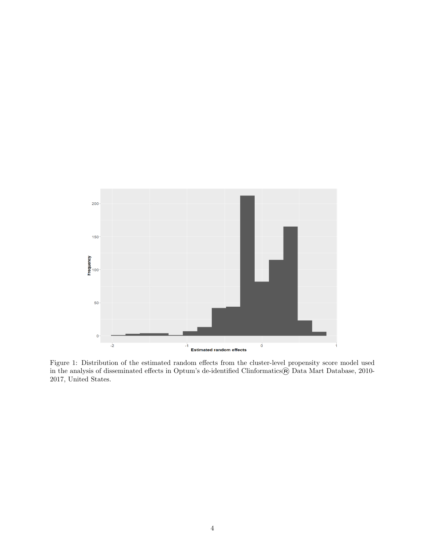

Figure 1: Distribution of the estimated random effects from the cluster-level propensity score model used in the analysis of disseminated effects in Optum's de-identified Clinformatics $\circledR$  Data Mart Database, 2010-2017, United States.